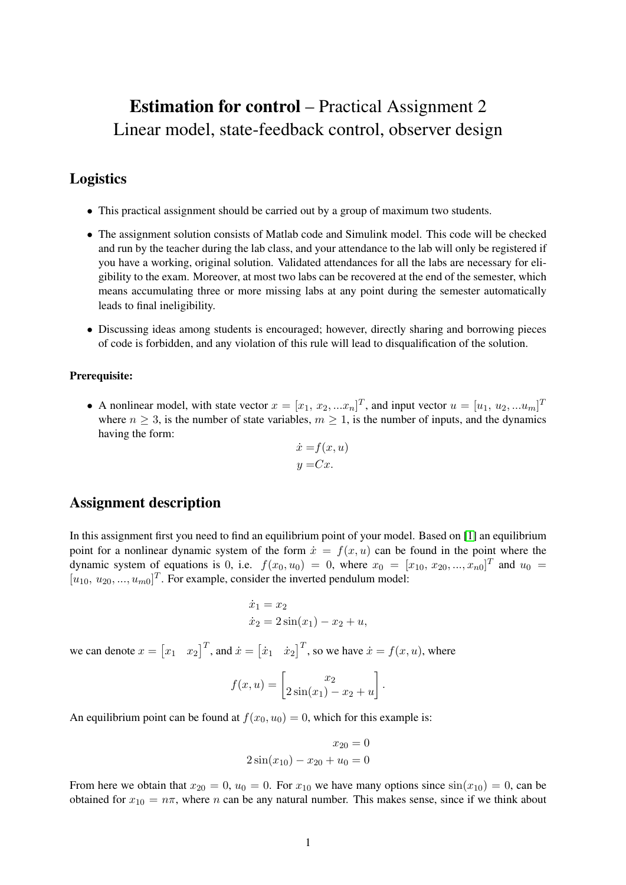# Estimation for control – Practical Assignment 2 Linear model, state-feedback control, observer design

## Logistics

- This practical assignment should be carried out by a group of maximum two students.
- The assignment solution consists of Matlab code and Simulink model. This code will be checked and run by the teacher during the lab class, and your attendance to the lab will only be registered if you have a working, original solution. Validated attendances for all the labs are necessary for eligibility to the exam. Moreover, at most two labs can be recovered at the end of the semester, which means accumulating three or more missing labs at any point during the semester automatically leads to final ineligibility.
- Discussing ideas among students is encouraged; however, directly sharing and borrowing pieces of code is forbidden, and any violation of this rule will lead to disqualification of the solution.

#### Prerequisite:

• A nonlinear model, with state vector  $x = [x_1, x_2, ... x_n]^T$ , and input vector  $u = [u_1, u_2, ... u_m]^T$ where  $n \geq 3$ , is the number of state variables,  $m \geq 1$ , is the number of inputs, and the dynamics having the form:

$$
\begin{aligned}\n\dot{x} &= f(x, u) \\
y &= Cx.\n\end{aligned}
$$

### Assignment description

In this assignment first you need to find an equilibrium point of your model. Based on [\[1\]](#page-1-0) an equilibrium point for a nonlinear dynamic system of the form  $\dot{x} = f(x, u)$  can be found in the point where the dynamic system of equations is 0, i.e.  $f(x_0, u_0) = 0$ , where  $x_0 = [x_{10}, x_{20}, ..., x_{n0}]^T$  and  $u_0 =$  $[u_{10}, u_{20}, ..., u_{m0}]^T$ . For example, consider the inverted pendulum model:

$$
\dot{x}_1 = x_2
$$
  
\n
$$
\dot{x}_2 = 2\sin(x_1) - x_2 + u,
$$

we can denote  $x = \begin{bmatrix} x_1 & x_2 \end{bmatrix}^T$ , and  $\dot{x} = \begin{bmatrix} \dot{x}_1 & \dot{x}_2 \end{bmatrix}^T$ , so we have  $\dot{x} = f(x, u)$ , where

$$
f(x, u) = \begin{bmatrix} x_2 \\ 2\sin(x_1) - x_2 + u \end{bmatrix}.
$$

An equilibrium point can be found at  $f(x_0, u_0) = 0$ , which for this example is:

$$
x_{20} = 0
$$
  
 
$$
2\sin(x_{10}) - x_{20} + u_0 = 0
$$

From here we obtain that  $x_{20} = 0$ ,  $u_0 = 0$ . For  $x_{10}$  we have many options since  $sin(x_{10}) = 0$ , can be obtained for  $x_{10} = n\pi$ , where n can be any natural number. This makes sense, since if we think about